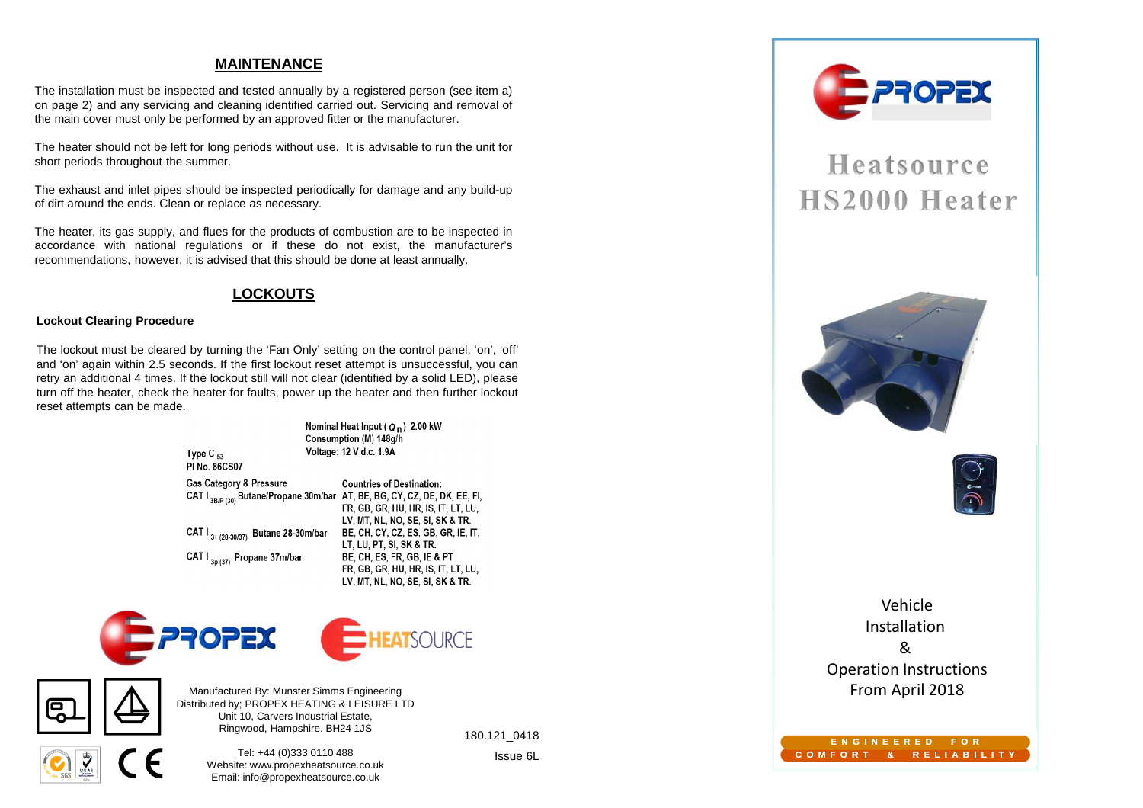#### **MAINTENANCE**

The installation must be inspected and tested annually by <sup>a</sup> registered person (see item a) on page 2) and any servicing and cleaning identified carried out. Servicing and removal of the main cover must only be performed by an approved fitter or the manufacturer.

The heater should not be left for long periods without use. It is advisable to run the unit forshort periods throughout the summer.

The exhaust and inlet pipes should be inspected periodically for damage and any build-upof dirt around the ends. Clean or replace as necessary.

The heater, its gas supply, and flues for the products of combustion are to be inspected in accordance with national regulations or if these do not exist, the manufacturer'srecommendations, however, it is advised that this should be done at least annually.

#### **LOCKOUTS**

#### **Lockout Clearing Procedure**

The lockout must be cleared by turning the 'Fan Only' setting on the control panel, 'on', 'off' and 'on' again within 2.5 seconds. If the first lockout reset attempt is unsuccessful, you can retry an additional <sup>4</sup> times. If the lockout still will not clear (identified by <sup>a</sup> solid LED), please turn off the heater, check the heater for faults, power up the heater and then further lockout reset attempts can be made.

Type  $C_{53}$ 



CAT I <sub>3+ (28-30/37)</sub> Butane 28-30m/bar BE, CH, CY, CZ, ES, GB, GR, IE, IT, LT. LU. PT. SI. SK & TR. CAT I<sub>3n (37)</sub> Propane 37m/bar BE. CH. ES. FR. GB. IE & PT FR, GB, GR, HU, HR, IS, IT, LT, LU, LV, MT, NL, NO, SE, SI, SK & TR.





Manufactured By: Munster Simms Engineering Distributed by; PROPEX HEATING & LEISURE LTDUnit 10, Carvers Industrial Estate,Ringwood, Hampshire. BH24 1JS

> Tel: +44 (0)333 0110 488 Website: www.propexheatsource.co.ukEmail: info@propexheatsource.co.uk

180.121\_0418

Issue 6L



# Heatsource HS2000 Heater





Vehicle Installation & Operation InstructionsFrom April 2018

#### **E N G I N E E R E D F O RC O M F O R T & R E L I A B I L I T Y**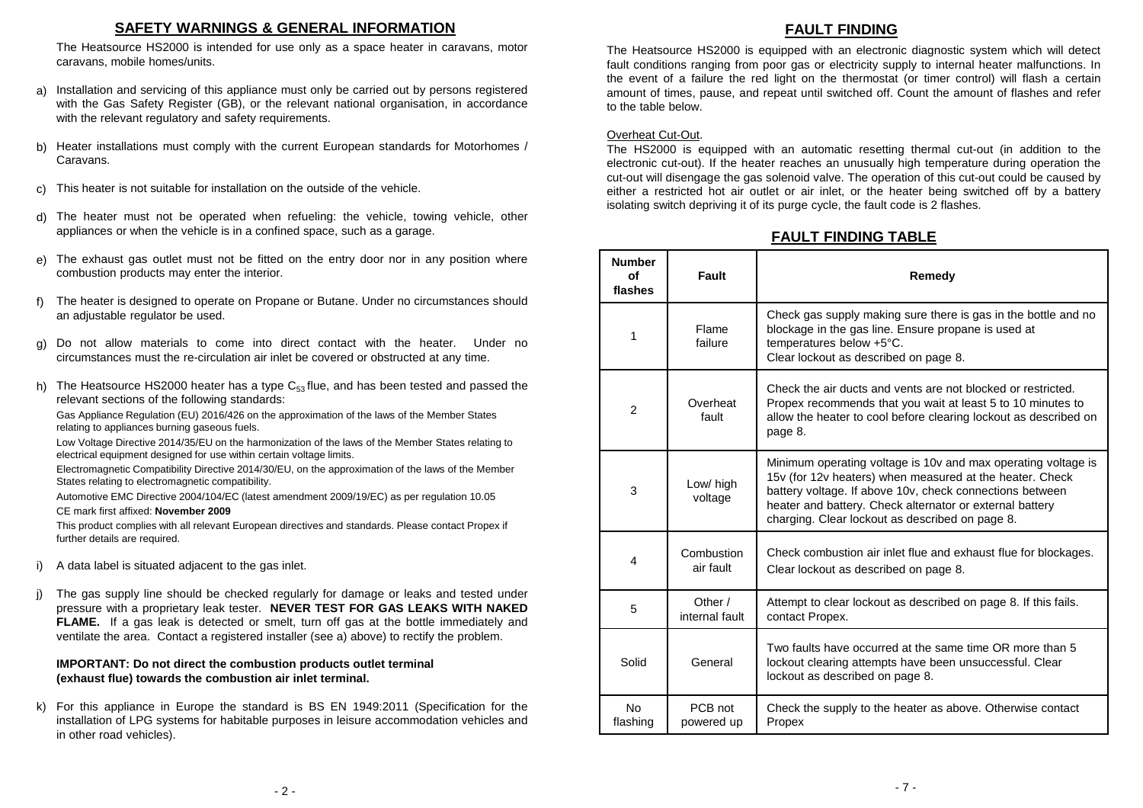#### **SAFETY WARNINGS & GENERAL INFORMATION**

 The Heatsource HS2000 is intended for use only as <sup>a</sup> space heater in caravans, motorcaravans, mobile homes/units.

- Installation and servicing of this appliance must only be carried out by persons registered with the Gas Safety Register (GB), or the relevant national organisation, in accordancewith the relevant regulatory and safety requirements. a)
- Heater installations must comply with the current European standards for Motorhomes / Caravans.b)
- This heater is not suitable for installation on the outside of the vehicle. c)
- The heater must not be operated when refueling: the vehicle, towing vehicle, otherappliances or when the vehicle is in <sup>a</sup> confined space, such as <sup>a</sup> garage. d)
- e) The exhaust gas outlet must not be fitted on the entry door nor in any position where combustion products may enter the interior.
- The heater is designed to operate on Propane or Butane. Under no circumstances shouldan adjustable regulator be used. f)
- Do not allow materials to come into direct contact with the heater. Under nocircumstances must the re-circulation air inlet be covered or obstructed at any time. g)
- The Heatsource HS2000 heater has a type  $C_{53}$  flue, and has been tested and passed the relevant sections of the following standards: h)

Gas Appliance Regulation (EU) 2016/426 on the approximation of the laws of the Member States relating to appliances burning gaseous fuels.

Low Voltage Directive 2014/35/EU on the harmonization of the laws of the Member States relating to electrical equipment designed for use within certain voltage limits.

Electromagnetic Compatibility Directive 2014/30/EU, on the approximation of the laws of the Member States relating to electromagnetic compatibility.

Automotive EMC Directive 2004/104/EC (latest amendment 2009/19/EC) as per regulation 10.05CE mark first affixed: **November 2009**

 This product complies with all relevant European directives and standards. Please contact Propex if further details are required.

- A data label is situated adjacent to the gas inlet. i)
- The gas supply line should be checked regularly for damage or leaks and tested under pressure with <sup>a</sup> proprietary leak tester. **NEVER TEST FOR GAS LEAKS WITH NAKED FLAME.** If <sup>a</sup> gas leak is detected or smelt, turn off gas at the bottle immediately andventilate the area. Contact <sup>a</sup> registered installer (see a) above) to rectify the problem. j)

#### **IMPORTANT: Do not direct the combustion products outlet terminal (exhaust flue) towards the combustion air inlet terminal.**

k) For this appliance in Europe the standard is BS EN 1949:2011 (Specification for the installation of LPG systems for habitable purposes in leisure accommodation vehicles and in other road vehicles).

### **FAULT FINDING**

 The Heatsource HS2000 is equipped with an electronic diagnostic system which will detect fault conditions ranging from poor gas or electricity supply to internal heater malfunctions. In the event of <sup>a</sup> failure the red light on the thermostat (or timer control) will flash <sup>a</sup> certain amount of times, pause, and repeat until switched off. Count the amount of flashes and referto the table below.

#### Overheat Cut-Out.

The HS2000 is equipped with an automatic resetting thermal cut-out (in addition to the electronic cut-out). If the heater reaches an unusually high temperature during operation the cut-out will disengage the gas solenoid valve. The operation of this cut-out could be caused by either <sup>a</sup> restricted hot air outlet or air inlet, or the heater being switched off by <sup>a</sup> batteryisolating switch depriving it of its purge cycle, the fault code is <sup>2</sup> flashes.

## **FAULT FINDING TABLE**

| <b>Number</b><br>Ωf<br>flashes | Fault                     | Remedy                                                                                                                                                                                                                                                                                               |
|--------------------------------|---------------------------|------------------------------------------------------------------------------------------------------------------------------------------------------------------------------------------------------------------------------------------------------------------------------------------------------|
| 1                              | Flame<br>failure          | Check gas supply making sure there is gas in the bottle and no<br>blockage in the gas line. Ensure propane is used at<br>temperatures below +5°C.<br>Clear lockout as described on page 8.                                                                                                           |
| 2                              | Overheat<br>fault         | Check the air ducts and vents are not blocked or restricted.<br>Propex recommends that you wait at least 5 to 10 minutes to<br>allow the heater to cool before clearing lockout as described on<br>page 8.                                                                                           |
| 3                              | Low/ high<br>voltage      | Minimum operating voltage is 10y and max operating voltage is<br>15v (for 12v heaters) when measured at the heater. Check<br>battery voltage. If above 10v, check connections between<br>heater and battery. Check alternator or external battery<br>charging. Clear lockout as described on page 8. |
| 4                              | Combustion<br>air fault   | Check combustion air inlet flue and exhaust flue for blockages.<br>Clear lockout as described on page 8.                                                                                                                                                                                             |
| 5                              | Other /<br>internal fault | Attempt to clear lockout as described on page 8. If this fails.<br>contact Propex.                                                                                                                                                                                                                   |
| Solid                          | General                   | Two faults have occurred at the same time OR more than 5<br>lockout clearing attempts have been unsuccessful. Clear<br>lockout as described on page 8.                                                                                                                                               |
| <b>No</b><br>flashing          | PCB not<br>powered up     | Check the supply to the heater as above. Otherwise contact<br>Propex                                                                                                                                                                                                                                 |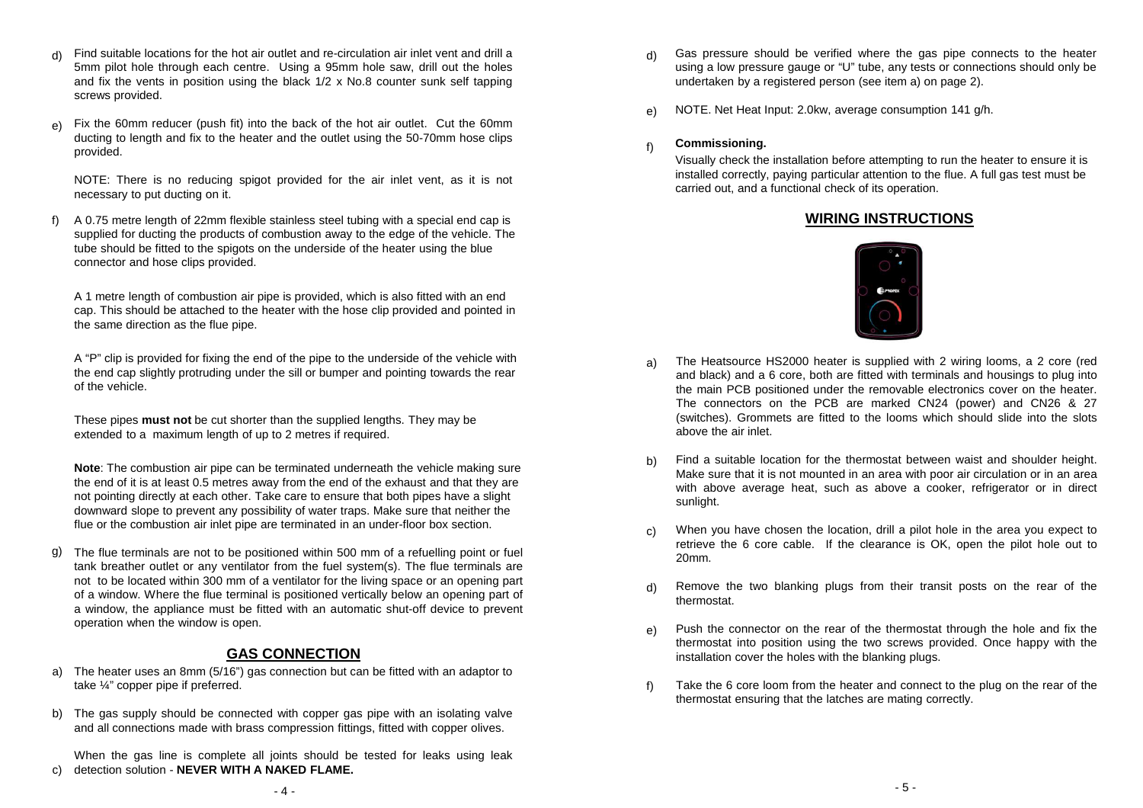- Find suitable locations for the hot air outlet and re-circulation air inlet vent and drill <sup>a</sup> 5mm pilot hole through each centre. Using <sup>a</sup> 95mm hole saw, drill out the holes and fix the vents in position using the black 1/2 <sup>x</sup> No.8 counter sunk self tappingscrews provided. d)
- Fix the 60mm reducer (push fit) into the back of the hot air outlet. Cut the 60mm ducting to length and fix to the heater and the outlet using the 50-70mm hose clipsprovided.e)

NOTE: There is no reducing spigot provided for the air inlet vent, as it is not necessary to put ducting on it.

) A 0.75 metre length of 22mm flexible stainless steel tubing with a special end cap is **WIRING INSTRUCTIONS**  supplied for ducting the products of combustion away to the edge of the vehicle. The tube should be fitted to the spigots on the underside of the heater using the blue connector and hose clips provided. f)

A 1 metre length of combustion air pipe is provided, which is also fitted with an end cap. This should be attached to the heater with the hose clip provided and pointed in the same direction as the flue pipe.

A "P" clip is provided for fixing the end of the pipe to the underside of the vehicle with the end cap slightly protruding under the sill or bumper and pointing towards the rear of the vehicle.

These pipes **must not** be cut shorter than the supplied lengths. They may be extended to a maximum length of up to 2 metres if required.

**Note**: The combustion air pipe can be terminated underneath the vehicle making sure the end of it is at least 0.5 metres away from the end of the exhaust and that they are not pointing directly at each other. Take care to ensure that both pipes have a slight downward slope to prevent any possibility of water traps. Make sure that neither the flue or the combustion air inlet pipe are terminated in an under-floor box section.

The flue terminals are not to be positioned within 500 mm of <sup>a</sup> refuelling point or fuel tank breather outlet or any ventilator from the fuel system(s). The flue terminals are not to be located within 300 mm of <sup>a</sup> ventilator for the living space or an opening part of <sup>a</sup> window. Where the flue terminal is positioned vertically below an opening part of <sup>a</sup> window, the appliance must be fitted with an automatic shut-off device to prevent operation when the window is open. g)

#### **GAS CONNECTION**

- The heater uses an 8mm (5/16") gas connection but can be fitted with an adaptor to take ¼" copper pipe if preferred. a)
- b) The gas supply should be connected with copper gas pipe with an isolating valve and all connections made with brass compression fittings, fitted with copper olives.

When the gas line is complete all joints should be tested for leaks using leakdetection solution - **NEVER WITH <sup>A</sup> NAKED FLAME.** c)

- Gas pressure should be verified where the gas pipe connects to the heater using <sup>a</sup> low pressure gauge or "U" tube, any tests or connections should only beundertaken by <sup>a</sup> registered person (see item a) on page 2). d)
- NOTE. Net Heat Input: 2.0kw, average consumption <sup>141</sup> g/h. e)

#### **Commissioning.** f)

Visually check the installation before attempting to run the heater to ensure it is installed correctly, paying particular attention to the flue. A full gas test must be carried out, and a functional check of its operation.



- The Heatsource HS2000 heater is supplied with <sup>2</sup> wiring looms, <sup>a</sup> <sup>2</sup> core (red and black) and <sup>a</sup> 6 core, both are fitted with terminals and housings to plug into the main PCB positioned under the removable electronics cover on the heater. The connectors on the PCB are marked CN24 (power) and CN26 & <sup>27</sup> (switches). Grommets are fitted to the looms which should slide into the slotsabove the air inlet. a)
- Find <sup>a</sup> suitable location for the thermostat between waist and shoulder height. Make sure that it is not mounted in an area with poor air circulation or in an area with above average heat, such as above <sup>a</sup> cooker, refrigerator or in direct sunlight.b)
- When you have chosen the location, drill <sup>a</sup> pilot hole in the area you expect to retrieve the 6 core cable. If the clearance is OK, open the pilot hole out to20mm.c)
- Remove the two blanking plugs from their transit posts on the rear of thethermostat.d)
- Push the connector on the rear of the thermostat through the hole and fix the thermostat into position using the two screws provided. Once happy with theinstallation cover the holes with the blanking plugs. e)
- Take the 6 core loom from the heater and connect to the plug on the rear of the thermostat ensuring that the latches are mating correctly. f)